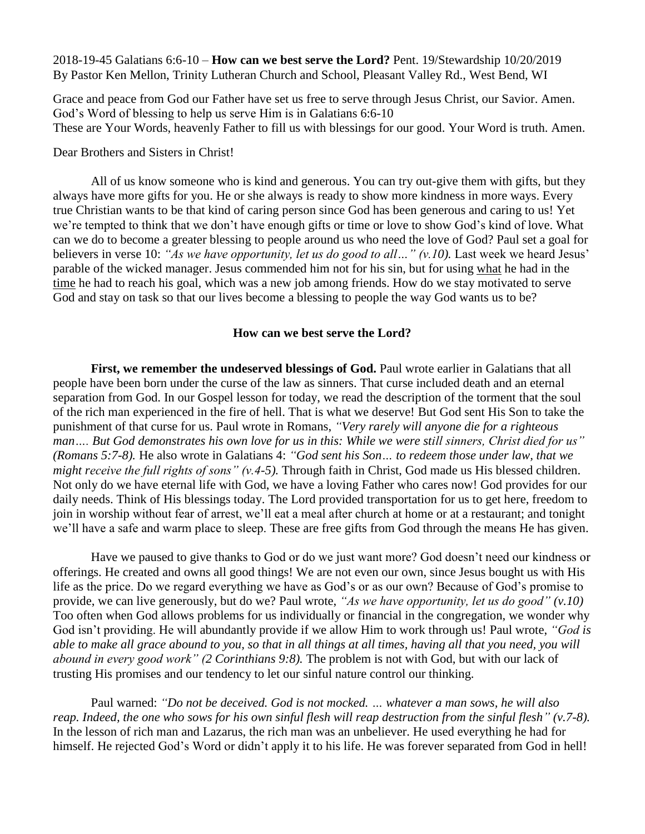2018-19-45 Galatians 6:6-10 – **How can we best serve the Lord?** Pent. 19/Stewardship 10/20/2019 By Pastor Ken Mellon, Trinity Lutheran Church and School, Pleasant Valley Rd., West Bend, WI

Grace and peace from God our Father have set us free to serve through Jesus Christ, our Savior. Amen. God's Word of blessing to help us serve Him is in Galatians 6:6-10 These are Your Words, heavenly Father to fill us with blessings for our good. Your Word is truth. Amen.

Dear Brothers and Sisters in Christ!

All of us know someone who is kind and generous. You can try out-give them with gifts, but they always have more gifts for you. He or she always is ready to show more kindness in more ways. Every true Christian wants to be that kind of caring person since God has been generous and caring to us! Yet we're tempted to think that we don't have enough gifts or time or love to show God's kind of love. What can we do to become a greater blessing to people around us who need the love of God? Paul set a goal for believers in verse 10: *"As we have opportunity, let us do good to all…" (v.10).* Last week we heard Jesus' parable of the wicked manager. Jesus commended him not for his sin, but for using what he had in the time he had to reach his goal, which was a new job among friends. How do we stay motivated to serve God and stay on task so that our lives become a blessing to people the way God wants us to be?

## **How can we best serve the Lord?**

**First, we remember the undeserved blessings of God.** Paul wrote earlier in Galatians that all people have been born under the curse of the law as sinners. That curse included death and an eternal separation from God. In our Gospel lesson for today, we read the description of the torment that the soul of the rich man experienced in the fire of hell. That is what we deserve! But God sent His Son to take the punishment of that curse for us. Paul wrote in Romans, *"Very rarely will anyone die for a righteous man…. But God demonstrates his own love for us in this: While we were still sinners, Christ died for us" (Romans 5:7-8).* He also wrote in Galatians 4: *"God sent his Son… to redeem those under law, that we might receive the full rights of sons" (v.4-5).* Through faith in Christ, God made us His blessed children. Not only do we have eternal life with God, we have a loving Father who cares now! God provides for our daily needs. Think of His blessings today. The Lord provided transportation for us to get here, freedom to join in worship without fear of arrest, we'll eat a meal after church at home or at a restaurant; and tonight we'll have a safe and warm place to sleep. These are free gifts from God through the means He has given.

Have we paused to give thanks to God or do we just want more? God doesn't need our kindness or offerings. He created and owns all good things! We are not even our own, since Jesus bought us with His life as the price. Do we regard everything we have as God's or as our own? Because of God's promise to provide, we can live generously, but do we? Paul wrote, *"As we have opportunity, let us do good" (v.10)* Too often when God allows problems for us individually or financial in the congregation, we wonder why God isn't providing. He will abundantly provide if we allow Him to work through us! Paul wrote, *"God is able to make all grace abound to you, so that in all things at all times, having all that you need, you will abound in every good work" (2 Corinthians 9:8).* The problem is not with God, but with our lack of trusting His promises and our tendency to let our sinful nature control our thinking.

Paul warned: *"Do not be deceived. God is not mocked. … whatever a man sows, he will also reap. Indeed, the one who sows for his own sinful flesh will reap destruction from the sinful flesh" (v.7-8).* In the lesson of rich man and Lazarus, the rich man was an unbeliever. He used everything he had for himself. He rejected God's Word or didn't apply it to his life. He was forever separated from God in hell!